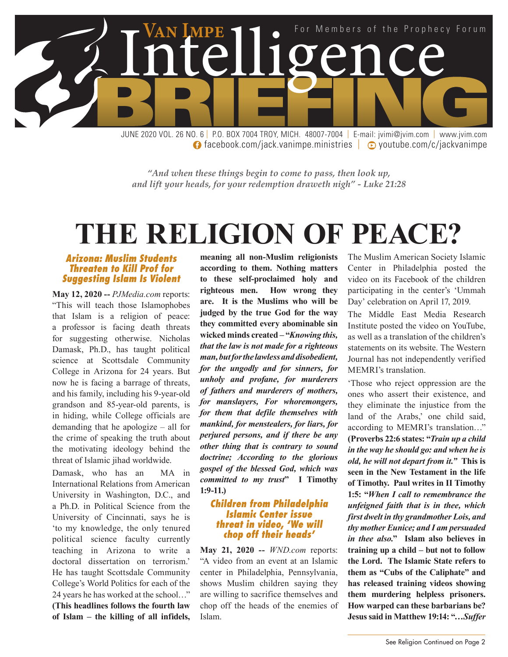

**facebook.com/jack.vanimpe.ministries | © youtube.com/c/jackvanimpe** 

*"And when these things begin to come to pass, then look up, and lift your heads, for your redemption draweth nigh" - Luke 21:28*

# **THE RELIGION OF PEACE?**

#### *Arizona: Muslim Students Threaten to Kill Prof for Suggesting Islam Is Violent*

**May 12, 2020 --** *PJMedia.com* reports: "This will teach those Islamophobes that Islam is a religion of peace: a professor is facing death threats for suggesting otherwise. Nicholas Damask, Ph.D., has taught political science at Scottsdale Community College in Arizona for 24 years. But now he is facing a barrage of threats, and his family, including his 9-year-old grandson and 85-year-old parents, is in hiding, while College officials are demanding that he apologize – all for the crime of speaking the truth about the motivating ideology behind the threat of Islamic jihad worldwide.

Damask, who has an MA in International Relations from American University in Washington, D.C., and a Ph.D. in Political Science from the University of Cincinnati, says he is 'to my knowledge, the only tenured political science faculty currently teaching in Arizona to write a doctoral dissertation on terrorism.' He has taught Scottsdale Community College's World Politics for each of the 24 years he has worked at the school…" **(This headlines follows the fourth law of Islam – the killing of all infidels,** 

**meaning all non-Muslim religionists according to them. Nothing matters to these self-proclaimed holy and righteous men. How wrong they are. It is the Muslims who will be judged by the true God for the way they committed every abominable sin wicked minds created – "***Knowing this, that the law is not made for a righteous man, but for the lawless and disobedient, for the ungodly and for sinners, for unholy and profane, for murderers of fathers and murderers of mothers, for manslayers, For whoremongers, for them that defile themselves with mankind, for menstealers, for liars, for perjured persons, and if there be any other thing that is contrary to sound doctrine; According to the glorious gospel of the blessed God, which was committed to my trust***" I Timothy 1:9-11.)**

#### *Children from Philadelphia Islamic Center issue threat in video, 'We will chop off their heads'*

**May 21, 2020 --** *WND.com* reports: "A video from an event at an Islamic center in Philadelphia, Pennsylvania, shows Muslim children saying they are willing to sacrifice themselves and chop off the heads of the enemies of Islam.

The Muslim American Society Islamic Center in Philadelphia posted the video on its Facebook of the children participating in the center's 'Ummah Day' celebration on April 17, 2019.

The Middle East Media Research Institute posted the video on YouTube, as well as a translation of the children's statements on its website. The Western Journal has not independently verified MEMRI's translation.

'Those who reject oppression are the ones who assert their existence, and they eliminate the injustice from the land of the Arabs,' one child said, according to MEMRI's translation…" **(Proverbs 22:6 states: "***Train up a child in the way he should go: and when he is old, he will not depart from it."* **This is seen in the New Testament in the life of Timothy. Paul writes in II Timothy 1:5: "***When I call to remembrance the unfeigned faith that is in thee, which first dwelt in thy grandmother Lois, and thy mother Eunice; and I am persuaded in thee also.***" Islam also believes in training up a child – but not to follow the Lord. The Islamic State refers to them as "Cubs of the Caliphate" and has released training videos showing them murdering helpless prisoners. How warped can these barbarians be? Jesus said in Matthew 19:14: "***…Suffer*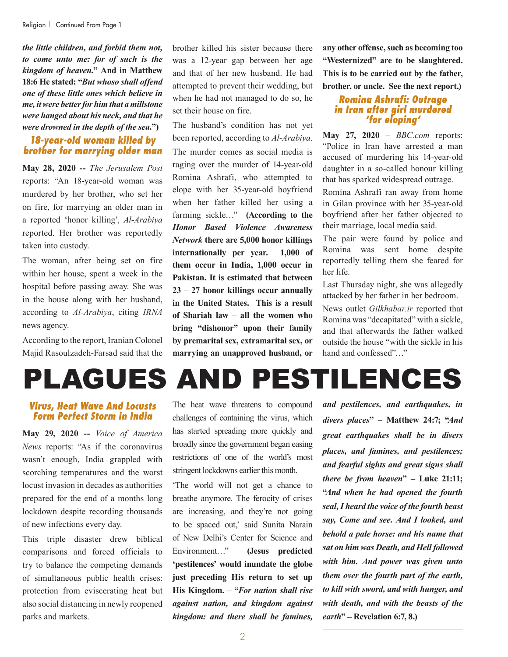*the little children, and forbid them not, to come unto me: for of such is the kingdom of heaven.***" And in Matthew 18:6 He stated: "***But whoso shall offend one of these little ones which believe in me, it were better for him that a millstone were hanged about his neck, and that he were drowned in the depth of the sea.***")**

# *18-year-old woman killed by brother for marrying older man*

**May 28, 2020 --** *The Jerusalem Post* reports: "An 18-year-old woman was murdered by her brother, who set her on fire, for marrying an older man in a reported 'honor killing', *Al-Arabiya* reported. Her brother was reportedly taken into custody.

The woman, after being set on fire within her house, spent a week in the hospital before passing away. She was in the house along with her husband, according to *Al-Arabiya*, citing *IRNA* news agency.

According to the report, Iranian Colonel Majid Rasoulzadeh-Farsad said that the

brother killed his sister because there was a 12-year gap between her age and that of her new husband. He had attempted to prevent their wedding, but when he had not managed to do so, he set their house on fire.

The husband's condition has not yet been reported, according to *Al-Arabiya*. The murder comes as social media is raging over the murder of 14-year-old Romina Ashrafi, who attempted to elope with her 35-year-old boyfriend when her father killed her using a farming sickle…" **(According to the**  *Honor Based Violence Awareness Network* **there are 5,000 honor killings internationally per year. 1,000 of them occur in India, 1,000 occur in Pakistan. It is estimated that between 23 – 27 honor killings occur annually in the United States. This is a result of Shariah law – all the women who bring "dishonor" upon their family by premarital sex, extramarital sex, or marrying an unapproved husband, or**  **any other offense, such as becoming too "Westernized" are to be slaughtered. This is to be carried out by the father, brother, or uncle. See the next report.)**

#### *Romina Ashrafi: Outrage in Iran after girl murdered 'for eloping'*

**May 27, 2020 –** *BBC.com* reports: "Police in Iran have arrested a man accused of murdering his 14-year-old daughter in a so-called honour killing that has sparked widespread outrage.

Romina Ashrafi ran away from home in Gilan province with her 35-year-old boyfriend after her father objected to their marriage, local media said.

The pair were found by police and Romina was sent home despite reportedly telling them she feared for her life.

Last Thursday night, she was allegedly attacked by her father in her bedroom.

News outlet *Gilkhabar.ir* reported that Romina was "decapitated" with a sickle, and that afterwards the father walked outside the house "with the sickle in his hand and confessed"…"

# PLAGUES AND PESTILENCES

#### *Virus, Heat Wave And Locusts Form Perfect Storm in India*

**May 29, 2020 --** *Voice of America News* reports: "As if the coronavirus wasn't enough, India grappled with scorching temperatures and the worst locust invasion in decades as authorities prepared for the end of a months long lockdown despite recording thousands of new infections every day.

This triple disaster drew biblical comparisons and forced officials to try to balance the competing demands of simultaneous public health crises: protection from eviscerating heat but also social distancing in newly reopened parks and markets.

The heat wave threatens to compound challenges of containing the virus, which has started spreading more quickly and broadly since the government began easing restrictions of one of the world's most stringent lockdowns earlier this month.

'The world will not get a chance to breathe anymore. The ferocity of crises are increasing, and they're not going to be spaced out,' said Sunita Narain of New Delhi's Center for Science and Environment…" **(Jesus predicted 'pestilences' would inundate the globe just preceding His return to set up His Kingdom. – "***For nation shall rise against nation, and kingdom against kingdom: and there shall be famines,* 

*and pestilences, and earthquakes, in divers places***" – Matthew 24:7; "***And great earthquakes shall be in divers places, and famines, and pestilences; and fearful sights and great signs shall there be from heaven***" – Luke 21:11; "***And when he had opened the fourth seal, I heard the voice of the fourth beast say, Come and see. And I looked, and behold a pale horse: and his name that sat on him was Death, and Hell followed with him. And power was given unto them over the fourth part of the earth, to kill with sword, and with hunger, and with death, and with the beasts of the earth***" – Revelation 6:7, 8.)**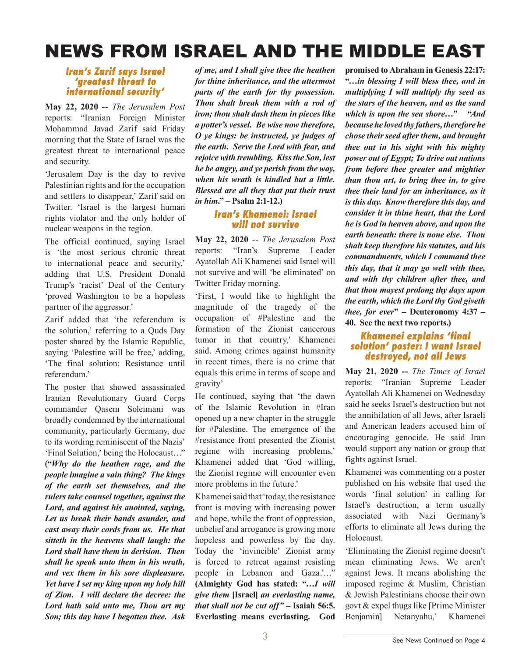# NEWS FROM ISRAEL AND THE MIDDLE EAST

#### *Iran's Zarif says Israel 'greatest threat to international security'*

**May 22, 2020 --** *The Jerusalem Post* reports: "Iranian Foreign Minister Mohammad Javad Zarif said Friday morning that the State of Israel was the greatest threat to international peace and security.

'Jerusalem Day is the day to revive Palestinian rights and for the occupation and settlers to disappear,' Zarif said on Twitter. 'Israel is the largest human rights violator and the only holder of nuclear weapons in the region.

The official continued, saying Israel is 'the most serious chronic threat to international peace and security,' adding that U.S. President Donald Trump's 'racist' Deal of the Century 'proved Washington to be a hopeless partner of the aggressor.'

Zarif added that 'the referendum is the solution,' referring to a Quds Day poster shared by the Islamic Republic, saying 'Palestine will be free,' adding, 'The final solution: Resistance until referendum.'

The poster that showed assassinated Iranian Revolutionary Guard Corps commander Qasem Soleimani was broadly condemned by the international community, particularly Germany, due to its wording reminiscent of the Nazis' 'Final Solution,' being the Holocaust…" **("***Why do the heathen rage, and the people imagine a vain thing? The kings of the earth set themselves, and the rulers take counsel together, against the Lord, and against his anointed, saying, Let us break their bands asunder, and cast away their cords from us. He that sitteth in the heavens shall laugh: the Lord shall have them in derision. Then shall he speak unto them in his wrath, and vex them in his sore displeasure.*

*Yet have I set my king upon my holy hill of Zion. I will declare the decree: the Lord hath said unto me, Thou art my Son; this day have I begotten thee. Ask* 

*of me, and I shall give thee the heathen for thine inheritance, and the uttermost parts of the earth for thy possession. Thou shalt break them with a rod of iron; thou shalt dash them in pieces like a potter's vessel. Be wise now therefore, O ye kings: be instructed, ye judges of the earth. Serve the Lord with fear, and rejoice with trembling. Kiss the Son, lest he be angry, and ye perish from the way, when his wrath is kindled but a little. Blessed are all they that put their trust in him***." – Psalm 2:1-12.)**

### *Iran's Khamenei: Israel will not survive*

**May 22, 2020** -- *The Jerusalem Post* reports: "Iran's Supreme Leader Ayatollah Ali Khamenei said Israel will not survive and will 'be eliminated' on Twitter Friday morning.

'First, I would like to highlight the magnitude of the tragedy of the occupation of #Palestine and the formation of the Zionist cancerous tumor in that country,' Khamenei said. Among crimes against humanity in recent times, there is no crime that equals this crime in terms of scope and gravity'

He continued, saying that 'the dawn of the Islamic Revolution in #Iran opened up a new chapter in the struggle for #Palestine. The emergence of the #resistance front presented the Zionist regime with increasing problems.' Khamenei added that 'God willing, the Zionist regime will encounter even more problems in the future.'

Khamenei said that 'today, the resistance front is moving with increasing power and hope, while the front of oppression, unbelief and arrogance is growing more hopeless and powerless by the day. Today the 'invincible' Zionist army is forced to retreat against resisting people in Lebanon and Gaza.'…" **(Almighty God has stated: "…***I will give them* **[Israel]** *an everlasting name, that shall not be cut off" –* **Isaiah 56:5. Everlasting means everlasting. God** 

**promised to Abraham in Genesis 22:17: "***…in blessing I will bless thee, and in multiplying I will multiply thy seed as the stars of the heaven, and as the sand which is upon the sea shore…"* **"***And because he loved thy fathers, therefore he chose their seed after them, and brought thee out in his sight with his mighty power out of Egypt; To drive out nations from before thee greater and mightier than thou art, to bring thee in, to give thee their land for an inheritance, as it is this day. Know therefore this day, and consider it in thine heart, that the Lord he is God in heaven above, and upon the earth beneath: there is none else. Thou shalt keep therefore his statutes, and his commandments, which I command thee this day, that it may go well with thee, and with thy children after thee, and that thou mayest prolong thy days upon the earth, which the Lord thy God giveth thee, for ever***" – Deuteronomy 4:37 – 40. See the next two reports.)**

#### *Khamenei explains 'final solution' poster: I want Israel destroyed, not all Jews*

**May 21, 2020 --** *The Times of Israel* reports: "Iranian Supreme Leader Ayatollah Ali Khamenei on Wednesday said he seeks Israel's destruction but not the annihilation of all Jews, after Israeli and American leaders accused him of encouraging genocide. He said Iran would support any nation or group that fights against Israel.

Khamenei was commenting on a poster published on his website that used the words 'final solution' in calling for Israel's destruction, a term usually associated with Nazi Germany's efforts to eliminate all Jews during the Holocaust.

'Eliminating the Zionist regime doesn't mean eliminating Jews. We aren't against Jews. It means abolishing the imposed regime & Muslim, Christian & Jewish Palestinians choose their own govt & expel thugs like [Prime Minister Benjamin] Netanyahu,' Khamenei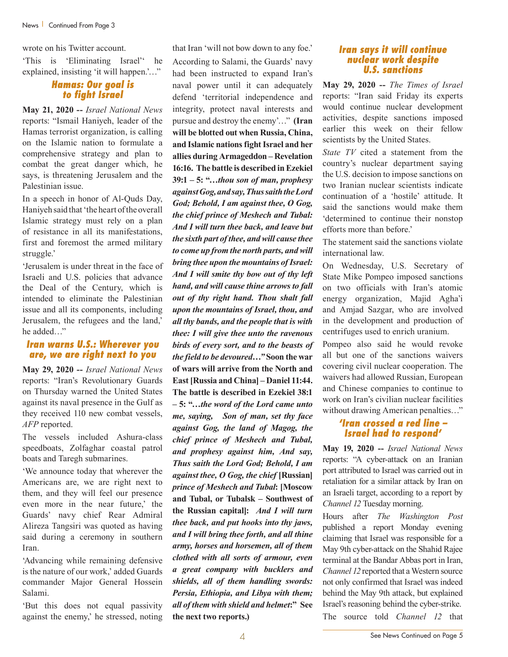wrote on his Twitter account.

'This is 'Eliminating Israel'' he explained, insisting 'it will happen.'…"

# *Hamas: Our goal is to fight Israel*

**May 21, 2020 --** *Israel National News* reports: "Ismail Haniyeh, leader of the Hamas terrorist organization, is calling on the Islamic nation to formulate a comprehensive strategy and plan to combat the great danger which, he says, is threatening Jerusalem and the Palestinian issue.

In a speech in honor of Al-Quds Day, Haniyeh said that 'the heart of the overall Islamic strategy must rely on a plan of resistance in all its manifestations, first and foremost the armed military struggle.'

'Jerusalem is under threat in the face of Israeli and U.S. policies that advance the Deal of the Century, which is intended to eliminate the Palestinian issue and all its components, including Jerusalem, the refugees and the land,' he added…"

#### *Iran warns U.S.: Wherever you are, we are right next to you*

**May 29, 2020 --** *Israel National News* reports: "Iran's Revolutionary Guards on Thursday warned the United States against its naval presence in the Gulf as they received 110 new combat vessels, *AFP* reported.

The vessels included Ashura-class speedboats, Zolfaghar coastal patrol boats and Taregh submarines.

'We announce today that wherever the Americans are, we are right next to them, and they will feel our presence even more in the near future,' the Guards' navy chief Rear Admiral Alireza Tangsiri was quoted as having said during a ceremony in southern Iran.

'Advancing while remaining defensive is the nature of our work,' added Guards commander Major General Hossein Salami.

'But this does not equal passivity against the enemy,' he stressed, noting that Iran 'will not bow down to any foe.' According to Salami, the Guards' navy had been instructed to expand Iran's naval power until it can adequately defend 'territorial independence and integrity, protect naval interests and pursue and destroy the enemy'…" **(Iran will be blotted out when Russia, China, and Islamic nations fight Israel and her allies during Armageddon – Revelation 16:16. The battle is described in Ezekiel 39:1 – 5: "…***thou son of man, prophesy against Gog, and say, Thus saith the Lord God; Behold, I am against thee, O Gog, the chief prince of Meshech and Tubal: And I will turn thee back, and leave but the sixth part of thee, and will cause thee to come up from the north parts, and will bring thee upon the mountains of Israel: And I will smite thy bow out of thy left hand, and will cause thine arrows to fall out of thy right hand. Thou shalt fall upon the mountains of Israel, thou, and all thy bands, and the people that is with thee: I will give thee unto the ravenous birds of every sort, and to the beasts of the field to be devoured…"* **Soon the war of wars will arrive from the North and East [Russia and China] – Daniel 11:44. The battle is described in Ezekiel 38:1 – 5: "…***the word of the Lord came unto me, saying, Son of man, set thy face against Gog, the land of Magog, the chief prince of Meshech and Tubal, and prophesy against him, And say, Thus saith the Lord God; Behold, I am against thee, O Gog, the chief* **[Russian]**  *prince of Meshech and Tubal***: [Moscow and Tubal, or Tubalsk – Southwest of the Russian capital]:** *And I will turn thee back, and put hooks into thy jaws, and I will bring thee forth, and all thine army, horses and horsemen, all of them clothed with all sorts of armour, even a great company with bucklers and shields, all of them handling swords: Persia, Ethiopia, and Libya with them; all of them with shield and helmet***:" See the next two reports.)**

#### *Iran says it will continue nuclear work despite U.S. sanctions*

**May 29, 2020 --** *The Times of Israel* reports: "Iran said Friday its experts would continue nuclear development activities, despite sanctions imposed earlier this week on their fellow scientists by the United States.

*State TV* cited a statement from the country's nuclear department saying the U.S. decision to impose sanctions on two Iranian nuclear scientists indicate continuation of a 'hostile' attitude. It said the sanctions would make them 'determined to continue their nonstop efforts more than before.'

The statement said the sanctions violate international law.

On Wednesday, U.S. Secretary of State Mike Pompeo imposed sanctions on two officials with Iran's atomic energy organization, Majid Agha'i and Amjad Sazgar, who are involved in the development and production of centrifuges used to enrich uranium.

Pompeo also said he would revoke all but one of the sanctions waivers covering civil nuclear cooperation. The waivers had allowed Russian, European and Chinese companies to continue to work on Iran's civilian nuclear facilities without drawing American penalties…"

# *'Iran crossed a red line – Israel had to respond'*

**May 19, 2020 --** *Israel National News* reports: "A cyber-attack on an Iranian port attributed to Israel was carried out in retaliation for a similar attack by Iran on an Israeli target, according to a report by *Channel 12* Tuesday morning.

Hours after *The Washington Post* published a report Monday evening claiming that Israel was responsible for a May 9th cyber-attack on the Shahid Rajee terminal at the Bandar Abbas port in Iran, *Channel 12* reported that a Western source not only confirmed that Israel was indeed behind the May 9th attack, but explained Israel's reasoning behind the cyber-strike. The source told *Channel 12* that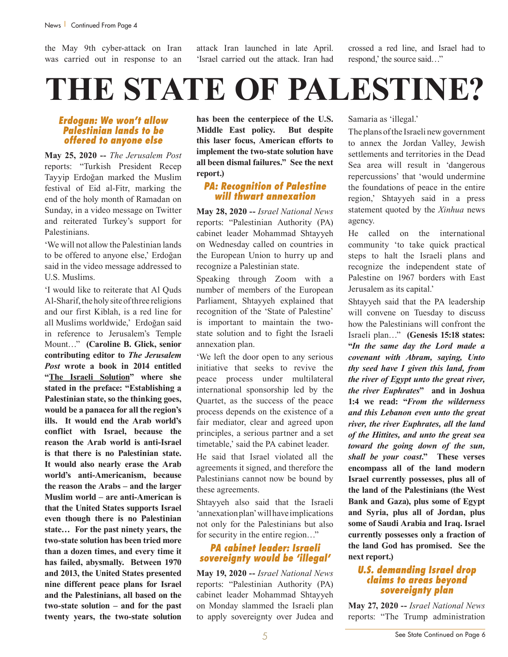the May 9th cyber-attack on Iran was carried out in response to an attack Iran launched in late April. 'Israel carried out the attack. Iran had crossed a red line, and Israel had to respond,' the source said…"

# *Erdogan: We won't allow Palestinian lands to be offered to anyone else*

**May 25, 2020 --** *The Jerusalem Post* reports: "Turkish President Recep Tayyip Erdoğan marked the Muslim festival of Eid al-Fitr, marking the end of the holy month of Ramadan on Sunday, in a video message on Twitter and reiterated Turkey's support for Palestinians.

'We will not allow the Palestinian lands to be offered to anyone else,' Erdoğan said in the video message addressed to U.S. Muslims.

'I would like to reiterate that Al Quds Al-Sharif, the holy site of three religions and our first Kiblah, is a red line for all Muslims worldwide,' Erdoğan said in reference to Jerusalem's Temple Mount…" **(Caroline B. Glick, senior contributing editor to** *The Jerusalem Post* **wrote a book in 2014 entitled "The Israeli Solution" where she stated in the preface: "Establishing a Palestinian state, so the thinking goes, would be a panacea for all the region's ills. It would end the Arab world's conflict with Israel, because the reason the Arab world is anti-Israel is that there is no Palestinian state. It would also nearly erase the Arab world's anti-Americanism, because the reason the Arabs – and the larger Muslim world – are anti-American is that the United States supports Israel even though there is no Palestinian state… For the past ninety years, the two-state solution has been tried more than a dozen times, and every time it has failed, abysmally. Between 1970 and 2013, the United States presented nine different peace plans for Israel and the Palestinians, all based on the two-state solution – and for the past twenty years, the two-state solution**  **has been the centerpiece of the U.S. Middle East policy. But despite this laser focus, American efforts to implement the two-state solution have all been dismal failures." See the next report.)**

# *PA: Recognition of Palestine will thwart annexation*

**May 28, 2020 --** *Israel National News* reports: "Palestinian Authority (PA) cabinet leader Mohammad Shtayyeh on Wednesday called on countries in the European Union to hurry up and recognize a Palestinian state.

Speaking through Zoom with a number of members of the European Parliament, Shtayyeh explained that recognition of the 'State of Palestine' is important to maintain the twostate solution and to fight the Israeli annexation plan.

'We left the door open to any serious initiative that seeks to revive the peace process under multilateral international sponsorship led by the Quartet, as the success of the peace process depends on the existence of a fair mediator, clear and agreed upon principles, a serious partner and a set timetable,' said the PA cabinet leader.

He said that Israel violated all the agreements it signed, and therefore the Palestinians cannot now be bound by these agreements.

Shtayyeh also said that the Israeli 'annexation plan' will have implications not only for the Palestinians but also for security in the entire region…"

# *PA cabinet leader: Israeli sovereignty would be 'illegal'*

**May 19, 2020 --** *Israel National News* reports: "Palestinian Authority (PA) cabinet leader Mohammad Shtayyeh on Monday slammed the Israeli plan to apply sovereignty over Judea and

Samaria as 'illegal.'

The plans of the Israeli new government to annex the Jordan Valley, Jewish settlements and territories in the Dead Sea area will result in 'dangerous repercussions' that 'would undermine the foundations of peace in the entire region,' Shtayyeh said in a press statement quoted by the *Xinhua* news agency.

He called on the international community 'to take quick practical steps to halt the Israeli plans and recognize the independent state of Palestine on 1967 borders with East Jerusalem as its capital.'

Shtayyeh said that the PA leadership will convene on Tuesday to discuss how the Palestinians will confront the Israeli plan…" **(Genesis 15:18 states: "***In the same day the Lord made a covenant with Abram, saying, Unto thy seed have I given this land, from the river of Egypt unto the great river, the river Euphrates***" and in Joshua 1:4 we read: "***From the wilderness and this Lebanon even unto the great river, the river Euphrates, all the land of the Hittites, and unto the great sea toward the going down of the sun, shall be your coast***." These verses encompass all of the land modern Israel currently possesses, plus all of the land of the Palestinians (the West Bank and Gaza), plus some of Egypt and Syria, plus all of Jordan, plus some of Saudi Arabia and Iraq. Israel currently possesses only a fraction of the land God has promised. See the next report.)**

#### *U.S. demanding Israel drop claims to areas beyond sovereignty plan*

**May 27, 2020 --** *Israel National News* reports: "The Trump administration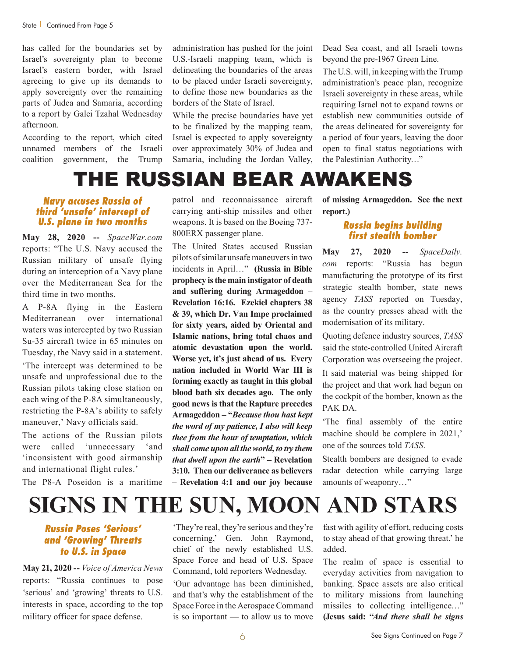has called for the boundaries set by Israel's sovereignty plan to become Israel's eastern border, with Israel agreeing to give up its demands to apply sovereignty over the remaining parts of Judea and Samaria, according to a report by Galei Tzahal Wednesday afternoon.

According to the report, which cited unnamed members of the Israeli coalition government, the Trump administration has pushed for the joint U.S.-Israeli mapping team, which is delineating the boundaries of the areas to be placed under Israeli sovereignty, to define those new boundaries as the borders of the State of Israel.

While the precise boundaries have yet to be finalized by the mapping team, Israel is expected to apply sovereignty over approximately 30% of Judea and Samaria, including the Jordan Valley,

Dead Sea coast, and all Israeli towns beyond the pre-1967 Green Line.

The U.S. will, in keeping with the Trump administration's peace plan, recognize Israeli sovereignty in these areas, while requiring Israel not to expand towns or establish new communities outside of the areas delineated for sovereignty for a period of four years, leaving the door open to final status negotiations with the Palestinian Authority…"

# THE RUSSIAN BEAR AWAKENS

# *Navy accuses Russia of third 'unsafe' intercept of U.S. plane in two months*

**May 28, 2020 --** *SpaceWar.com* reports: "The U.S. Navy accused the Russian military of unsafe flying during an interception of a Navy plane over the Mediterranean Sea for the third time in two months.

A P-8A flying in the Eastern Mediterranean over international waters was intercepted by two Russian Su-35 aircraft twice in 65 minutes on Tuesday, the Navy said in a statement.

'The intercept was determined to be unsafe and unprofessional due to the Russian pilots taking close station on each wing of the P-8A simultaneously, restricting the P-8A's ability to safely maneuver,' Navy officials said.

The actions of the Russian pilots were called 'unnecessary 'and 'inconsistent with good airmanship and international flight rules.'

The P8-A Poseidon is a maritime

patrol and reconnaissance aircraft carrying anti-ship missiles and other weapons. It is based on the Boeing 737- 800ERX passenger plane.

The United States accused Russian pilots of similar unsafe maneuvers in two incidents in April…" **(Russia in Bible prophecy is the main instigator of death and suffering during Armageddon – Revelation 16:16. Ezekiel chapters 38 & 39, which Dr. Van Impe proclaimed for sixty years, aided by Oriental and Islamic nations, bring total chaos and atomic devastation upon the world. Worse yet, it's just ahead of us. Every nation included in World War III is forming exactly as taught in this global blood bath six decades ago. The only good news is that the Rapture precedes Armageddon – "***Because thou hast kept the word of my patience, I also will keep thee from the hour of temptation, which shall come upon all the world, to try them that dwell upon the earth***" – Revelation 3:10. Then our deliverance as believers – Revelation 4:1 and our joy because** 

**of missing Armageddon. See the next report.)**

#### *Russia begins building first stealth bomber*

**May 27, 2020 --** *SpaceDaily. com* reports: "Russia has begun manufacturing the prototype of its first strategic stealth bomber, state news agency *TASS* reported on Tuesday, as the country presses ahead with the modernisation of its military.

Quoting defence industry sources, *TASS* said the state-controlled United Aircraft Corporation was overseeing the project.

It said material was being shipped for the project and that work had begun on the cockpit of the bomber, known as the PAK DA

'The final assembly of the entire machine should be complete in 2021,' one of the sources told *TASS*.

Stealth bombers are designed to evade radar detection while carrying large amounts of weaponry…"

# **SIGNS IN THE SUN, MOON AND STARS**

# *Russia Poses 'Serious' and 'Growing' Threats to U.S. in Space*

**May 21, 2020 --** *Voice of America News* reports: "Russia continues to pose 'serious' and 'growing' threats to U.S. interests in space, according to the top military officer for space defense.

'They're real, they're serious and they're concerning,' Gen. John Raymond, chief of the newly established U.S. Space Force and head of U.S. Space Command, told reporters Wednesday.

'Our advantage has been diminished, and that's why the establishment of the Space Force in the Aerospace Command is so important — to allow us to move

fast with agility of effort, reducing costs to stay ahead of that growing threat,' he added.

The realm of space is essential to everyday activities from navigation to banking. Space assets are also critical to military missions from launching missiles to collecting intelligence…" **(Jesus said: "***And there shall be signs*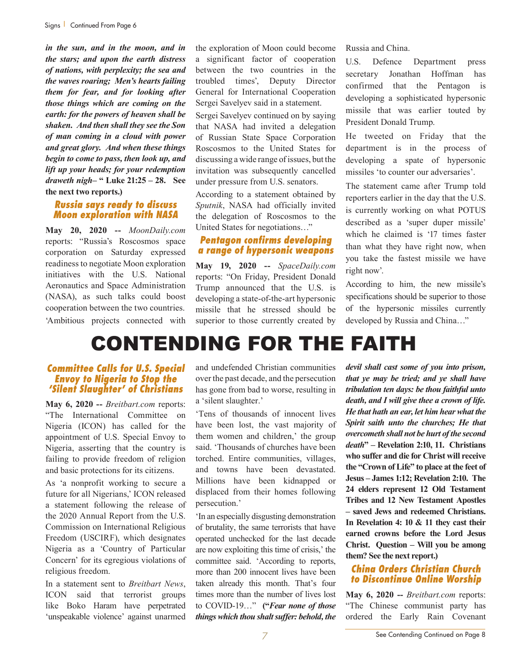*in the sun, and in the moon, and in the stars; and upon the earth distress of nations, with perplexity; the sea and the waves roaring; Men's hearts failing them for fear, and for looking after those things which are coming on the earth: for the powers of heaven shall be shaken. And then shall they see the Son of man coming in a cloud with power and great glory. And when these things begin to come to pass, then look up, and lift up your heads; for your redemption draweth nigh***– " Luke 21:25 – 28. See the next two reports.)**

# *Russia says ready to discuss Moon exploration with NASA*

**May 20, 2020 --** *MoonDaily.com* reports: "Russia's Roscosmos space corporation on Saturday expressed readiness to negotiate Moon exploration initiatives with the U.S. National Aeronautics and Space Administration (NASA), as such talks could boost cooperation between the two countries. 'Ambitious projects connected with

the exploration of Moon could become a significant factor of cooperation between the two countries in the troubled times', Deputy Director General for International Cooperation Sergei Savelyev said in a statement.

Sergei Savelyev continued on by saying that NASA had invited a delegation of Russian State Space Corporation Roscosmos to the United States for discussing a wide range of issues, but the invitation was subsequently cancelled under pressure from U.S. senators.

According to a statement obtained by *Sputnik*, NASA had officially invited the delegation of Roscosmos to the United States for negotiations…"

# *Pentagon confirms developing a range of hypersonic weapons*

**May 19, 2020 --** *SpaceDaily.com* reports: "On Friday, President Donald Trump announced that the U.S. is developing a state-of-the-art hypersonic missile that he stressed should be superior to those currently created by Russia and China.

U.S. Defence Department press secretary Jonathan Hoffman has confirmed that the Pentagon is developing a sophisticated hypersonic missile that was earlier touted by President Donald Trump.

He tweeted on Friday that the department is in the process of developing a spate of hypersonic missiles 'to counter our adversaries'.

The statement came after Trump told reporters earlier in the day that the U.S. is currently working on what POTUS described as a 'super duper missile' which he claimed is '17 times faster than what they have right now, when you take the fastest missile we have right now'.

According to him, the new missile's specifications should be superior to those of the hypersonic missiles currently developed by Russia and China…"

# CONTENDING FOR THE FAITH

#### *Committee Calls for U.S. Special Envoy to Nigeria to Stop the 'Silent Slaughter' of Christians*

**May 6, 2020 --** *Breitbart.com* reports: "The International Committee on Nigeria (ICON) has called for the appointment of U.S. Special Envoy to Nigeria, asserting that the country is failing to provide freedom of religion and basic protections for its citizens.

As 'a nonprofit working to secure a future for all Nigerians,' ICON released a statement following the release of the 2020 Annual Report from the U.S. Commission on International Religious Freedom (USCIRF), which designates Nigeria as a 'Country of Particular Concern' for its egregious violations of religious freedom.

In a statement sent to *Breitbart News*, ICON said that terrorist groups like Boko Haram have perpetrated 'unspeakable violence' against unarmed and undefended Christian communities over the past decade, and the persecution has gone from bad to worse, resulting in a 'silent slaughter.'

'Tens of thousands of innocent lives have been lost, the vast majority of them women and children,' the group said. 'Thousands of churches have been torched. Entire communities, villages, and towns have been devastated. Millions have been kidnapped or displaced from their homes following persecution.'

'In an especially disgusting demonstration of brutality, the same terrorists that have operated unchecked for the last decade are now exploiting this time of crisis,' the committee said. 'According to reports, more than 200 innocent lives have been taken already this month. That's four times more than the number of lives lost to COVID-19…" **("***Fear none of those things which thou shalt suffer: behold, the*  *devil shall cast some of you into prison, that ye may be tried; and ye shall have tribulation ten days: be thou faithful unto death, and I will give thee a crown of life. He that hath an ear, let him hear what the Spirit saith unto the churches; He that overcometh shall not be hurt of the second death***" – Revelation 2:10, 11. Christians who suffer and die for Christ will receive the "Crown of Life" to place at the feet of Jesus – James 1:12; Revelation 2:10. The 24 elders represent 12 Old Testament Tribes and 12 New Testament Apostles – saved Jews and redeemed Christians. In Revelation 4: 10 & 11 they cast their earned crowns before the Lord Jesus Christ. Question – Will you be among them? See the next report.)**

# *China Orders Christian Church to Discontinue Online Worship*

**May 6, 2020 --** *Breitbart.com* reports: "The Chinese communist party has ordered the Early Rain Covenant